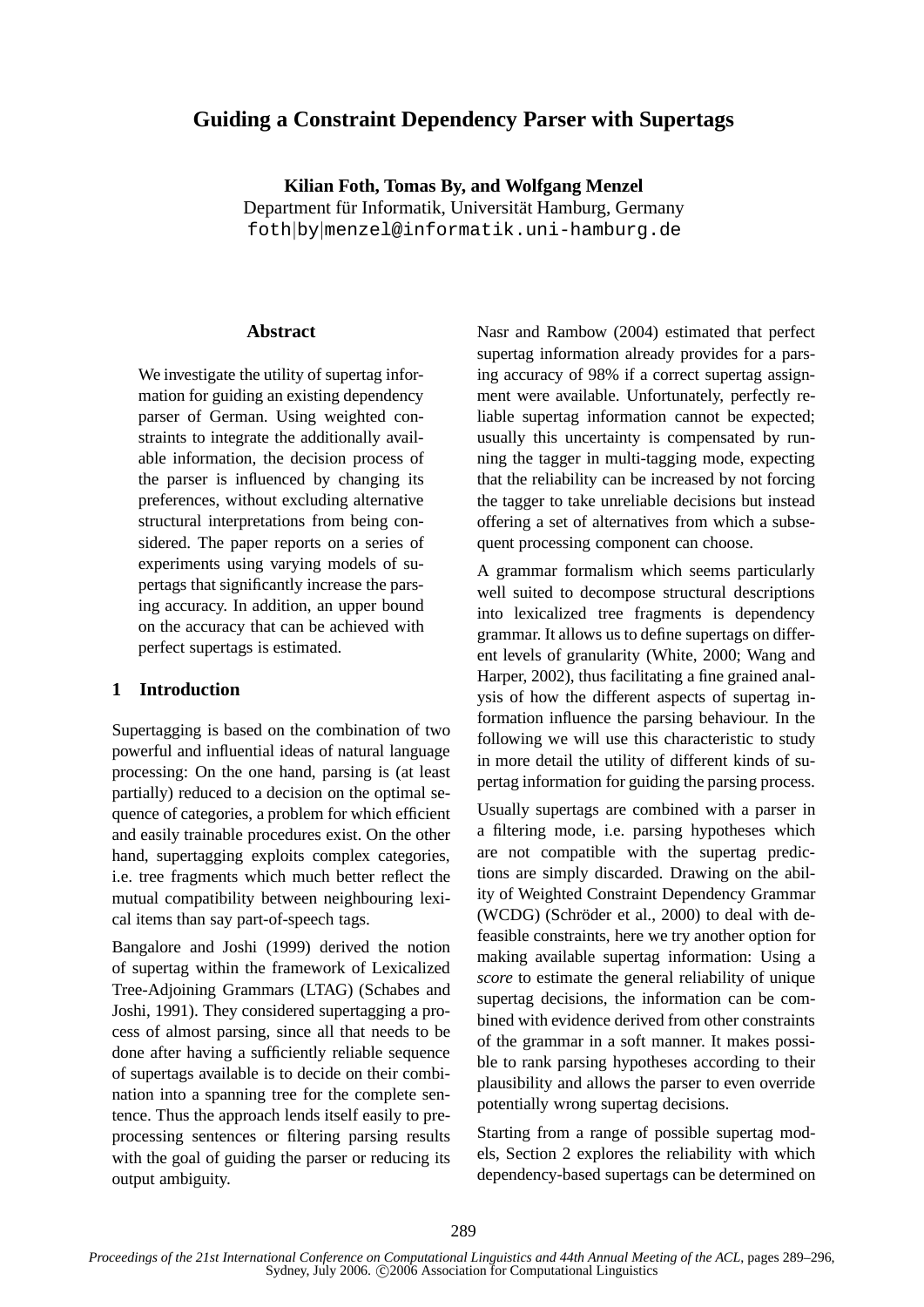# **Guiding a Constraint Dependency Parser with Supertags**

**Kilian Foth, Tomas By, and Wolfgang Menzel** Department für Informatik, Universität Hamburg, Germany foth|by|menzel@informatik.uni-hamburg.de

#### **Abstract**

We investigate the utility of supertag information for guiding an existing dependency parser of German. Using weighted constraints to integrate the additionally available information, the decision process of the parser is influenced by changing its preferences, without excluding alternative structural interpretations from being considered. The paper reports on a series of experiments using varying models of supertags that significantly increase the parsing accuracy. In addition, an upper bound on the accuracy that can be achieved with perfect supertags is estimated.

### **1 Introduction**

Supertagging is based on the combination of two powerful and influential ideas of natural language processing: On the one hand, parsing is (at least partially) reduced to a decision on the optimal sequence of categories, a problem for which efficient and easily trainable procedures exist. On the other hand, supertagging exploits complex categories, i.e. tree fragments which much better reflect the mutual compatibility between neighbouring lexical items than say part-of-speech tags.

Bangalore and Joshi (1999) derived the notion of supertag within the framework of Lexicalized Tree-Adjoining Grammars (LTAG) (Schabes and Joshi, 1991). They considered supertagging a process of almost parsing, since all that needs to be done after having a sufficiently reliable sequence of supertags available is to decide on their combination into a spanning tree for the complete sentence. Thus the approach lends itself easily to preprocessing sentences or filtering parsing results with the goal of guiding the parser or reducing its output ambiguity.

Nasr and Rambow (2004) estimated that perfect supertag information already provides for a parsing accuracy of 98% if a correct supertag assignment were available. Unfortunately, perfectly reliable supertag information cannot be expected; usually this uncertainty is compensated by running the tagger in multi-tagging mode, expecting that the reliability can be increased by not forcing the tagger to take unreliable decisions but instead offering a set of alternatives from which a subsequent processing component can choose.

A grammar formalism which seems particularly well suited to decompose structural descriptions into lexicalized tree fragments is dependency grammar. It allows us to define supertags on different levels of granularity (White, 2000; Wang and Harper, 2002), thus facilitating a fine grained analysis of how the different aspects of supertag information influence the parsing behaviour. In the following we will use this characteristic to study in more detail the utility of different kinds of supertag information for guiding the parsing process.

Usually supertags are combined with a parser in a filtering mode, i.e. parsing hypotheses which are not compatible with the supertag predictions are simply discarded. Drawing on the ability of Weighted Constraint Dependency Grammar  $(WCDG)$  (Schröder et al., 2000) to deal with defeasible constraints, here we try another option for making available supertag information: Using a *score* to estimate the general reliability of unique supertag decisions, the information can be combined with evidence derived from other constraints of the grammar in a soft manner. It makes possible to rank parsing hypotheses according to their plausibility and allows the parser to even override potentially wrong supertag decisions.

Starting from a range of possible supertag models, Section 2 explores the reliability with which dependency-based supertags can be determined on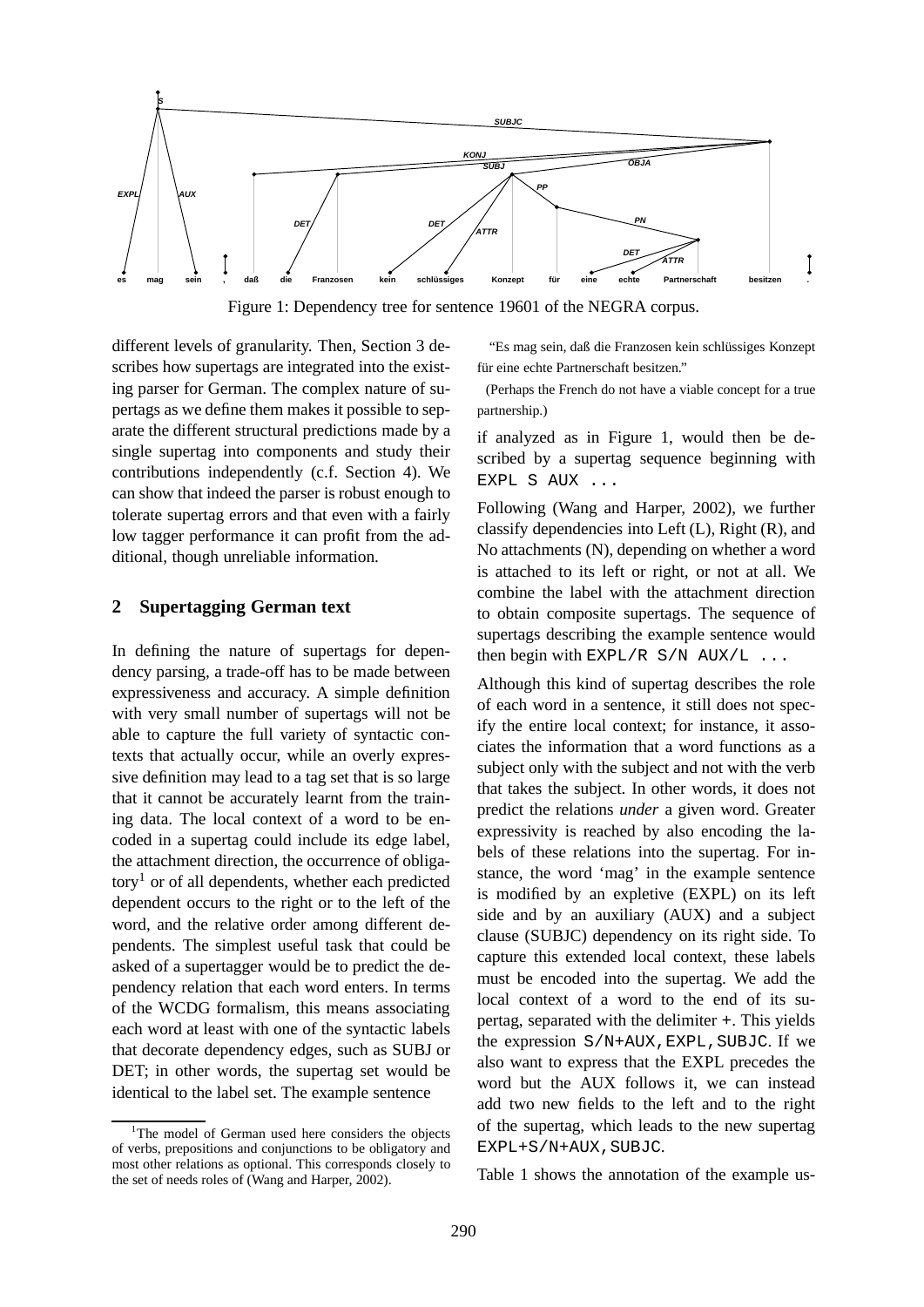

Figure 1: Dependency tree for sentence 19601 of the NEGRA corpus.

different levels of granularity. Then, Section 3 describes how supertags are integrated into the existing parser for German. The complex nature of supertags as we define them makes it possible to separate the different structural predictions made by a single supertag into components and study their contributions independently (c.f. Section 4). We can show that indeed the parser is robust enough to tolerate supertag errors and that even with a fairly low tagger performance it can profit from the additional, though unreliable information.

### **2 Supertagging German text**

In defining the nature of supertags for dependency parsing, a trade-off has to be made between expressiveness and accuracy. A simple definition with very small number of supertags will not be able to capture the full variety of syntactic contexts that actually occur, while an overly expressive definition may lead to a tag set that is so large that it cannot be accurately learnt from the training data. The local context of a word to be encoded in a supertag could include its edge label, the attachment direction, the occurrence of obliga- $\text{tory}^1$  or of all dependents, whether each predicted dependent occurs to the right or to the left of the word, and the relative order among different dependents. The simplest useful task that could be asked of a supertagger would be to predict the dependency relation that each word enters. In terms of the WCDG formalism, this means associating each word at least with one of the syntactic labels that decorate dependency edges, such as SUBJ or DET; in other words, the supertag set would be identical to the label set. The example sentence

"Es mag sein, daß die Franzosen kein schlüssiges Konzept für eine echte Partnerschaft besitzen."

(Perhaps the French do not have a viable concept for a true partnership.)

if analyzed as in Figure 1, would then be described by a supertag sequence beginning with EXPL S AUX ...

Following (Wang and Harper, 2002), we further classify dependencies into Left (L), Right (R), and No attachments (N), depending on whether a word is attached to its left or right, or not at all. We combine the label with the attachment direction to obtain composite supertags. The sequence of supertags describing the example sentence would then begin with  $EXPL/R$  S/N  $AUX/L$  ...

Although this kind of supertag describes the role of each word in a sentence, it still does not specify the entire local context; for instance, it associates the information that a word functions as a subject only with the subject and not with the verb that takes the subject. In other words, it does not predict the relations *under* a given word. Greater expressivity is reached by also encoding the labels of these relations into the supertag. For instance, the word 'mag' in the example sentence is modified by an expletive (EXPL) on its left side and by an auxiliary (AUX) and a subject clause (SUBJC) dependency on its right side. To capture this extended local context, these labels must be encoded into the supertag. We add the local context of a word to the end of its supertag, separated with the delimiter +. This yields the expression  $S/N+AUX$ , EXPL, SUBJC. If we also want to express that the EXPL precedes the word but the AUX follows it, we can instead add two new fields to the left and to the right of the supertag, which leads to the new supertag EXPL+S/N+AUX, SUBJC.

Table 1 shows the annotation of the example us-

<sup>&</sup>lt;sup>1</sup>The model of German used here considers the objects of verbs, prepositions and conjunctions to be obligatory and most other relations as optional. This corresponds closely to the set of needs roles of (Wang and Harper, 2002).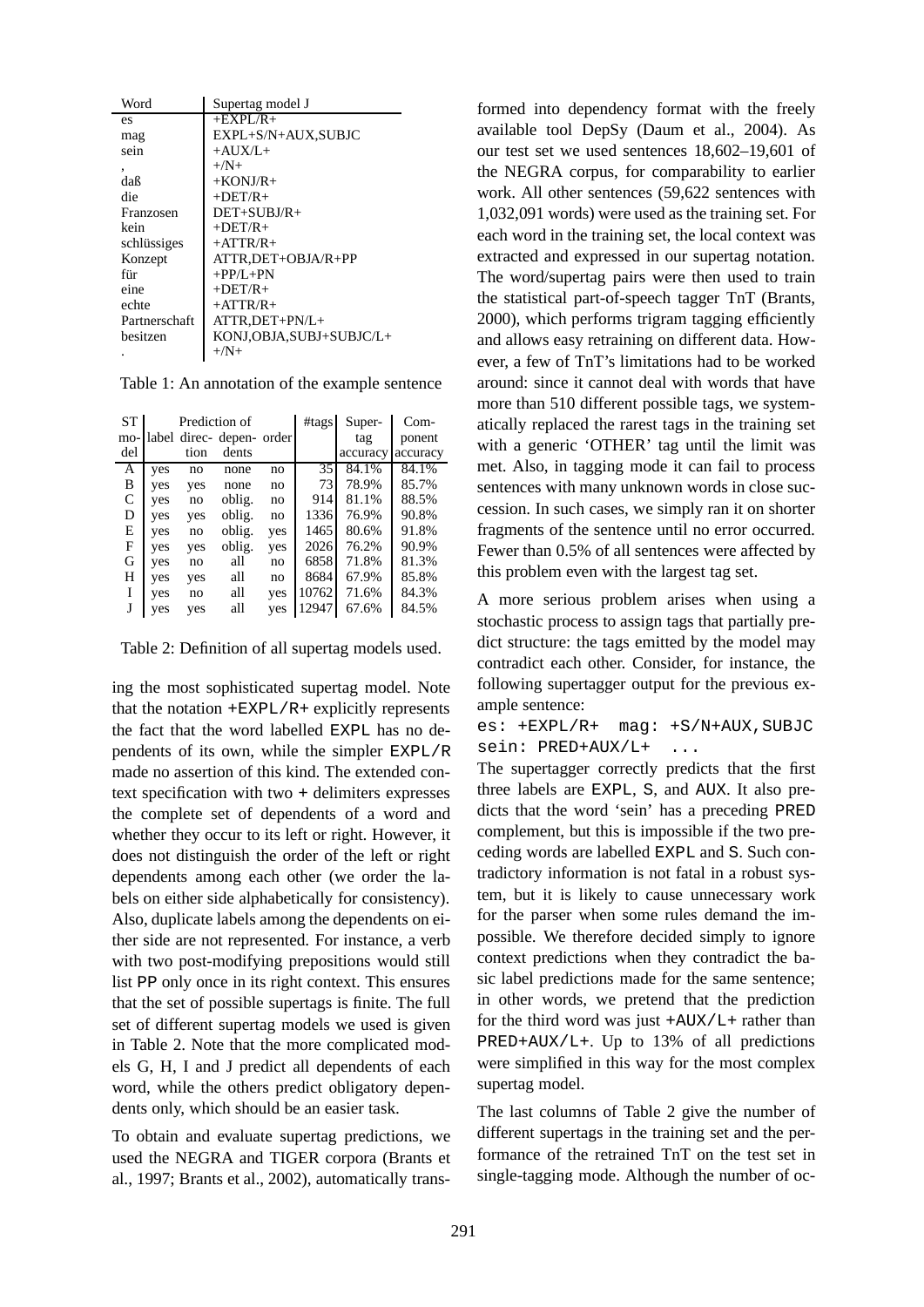| Word          | Supertag model J          |
|---------------|---------------------------|
| es            | $+EXPL/R+$                |
| mag           | EXPL+S/N+AUX,SUBJC        |
| sein          | $+AIIX/L+$                |
| ۰             | $+/\mathbf{N}+$           |
| daß           | $+$ KONJ/R $+$            |
| die           | $+$ DET/R $+$             |
| Franzosen     | $DEF+SUBJ/R+$             |
| kein          | $+$ DET/R $+$             |
| schlüssiges   | $+ATTR/R+$                |
| Konzept       | ATTR.DET+OBJA/R+PP        |
| für           | $+PP/L+PN$                |
| eine          | $+$ DET/R $+$             |
| echte         | $+ATTR/R+$                |
| Partnerschaft | ATTR, DET+PN/L+           |
| besitzen      | KONJ, OBJA, SUBJ+SUBJC/L+ |
|               | $+/\mathrm{N}+$           |

Table 1: An annotation of the example sentence

| <b>ST</b> |     |      | Prediction of             |     | #tags | Super-   | Com-     |
|-----------|-----|------|---------------------------|-----|-------|----------|----------|
| mo-       |     |      | label direc- depen- order |     |       | tag      | ponent   |
| del       |     | tion | dents                     |     |       | accuracy | accuracy |
| А         | yes | no   | none                      | no  | 35    | 84.1%    | 84.1%    |
| B         | yes | yes  | none                      | no  | 73    | 78.9%    | 85.7%    |
| C         | yes | no   | oblig.                    | no  | 914   | 81.1%    | 88.5%    |
| D         | yes | yes  | oblig.                    | no  | 1336  | 76.9%    | 90.8%    |
| Е         | yes | no   | oblig.                    | yes | 1465  | 80.6%    | 91.8%    |
| F         | yes | yes  | oblig.                    | yes | 2026  | 76.2%    | 90.9%    |
| G         | yes | no   | all                       | no  | 6858  | 71.8%    | 81.3%    |
| H         | yes | yes  | all                       | no  | 8684  | 67.9%    | 85.8%    |
| I         | yes | no   | all                       | yes | 10762 | 71.6%    | 84.3%    |
|           | yes | yes  | all                       | yes | 12947 | 67.6%    | 84.5%    |

Table 2: Definition of all supertag models used.

ing the most sophisticated supertag model. Note that the notation  $+EXPL/R$  explicitly represents the fact that the word labelled EXPL has no dependents of its own, while the simpler EXPL/R made no assertion of this kind. The extended context specification with two + delimiters expresses the complete set of dependents of a word and whether they occur to its left or right. However, it does not distinguish the order of the left or right dependents among each other (we order the labels on either side alphabetically for consistency). Also, duplicate labels among the dependents on either side are not represented. For instance, a verb with two post-modifying prepositions would still list PP only once in its right context. This ensures that the set of possible supertags is finite. The full set of different supertag models we used is given in Table 2. Note that the more complicated models G, H, I and J predict all dependents of each word, while the others predict obligatory dependents only, which should be an easier task.

To obtain and evaluate supertag predictions, we used the NEGRA and TIGER corpora (Brants et al., 1997; Brants et al., 2002), automatically trans-

formed into dependency format with the freely available tool DepSy (Daum et al., 2004). As our test set we used sentences 18,602–19,601 of the NEGRA corpus, for comparability to earlier work. All other sentences (59,622 sentences with 1,032,091 words) were used as the training set. For each word in the training set, the local context was extracted and expressed in our supertag notation. The word/supertag pairs were then used to train the statistical part-of-speech tagger TnT (Brants, 2000), which performs trigram tagging efficiently and allows easy retraining on different data. However, a few of TnT's limitations had to be worked around: since it cannot deal with words that have more than 510 different possible tags, we systematically replaced the rarest tags in the training set with a generic 'OTHER' tag until the limit was met. Also, in tagging mode it can fail to process sentences with many unknown words in close succession. In such cases, we simply ran it on shorter fragments of the sentence until no error occurred. Fewer than 0.5% of all sentences were affected by this problem even with the largest tag set.

A more serious problem arises when using a stochastic process to assign tags that partially predict structure: the tags emitted by the model may contradict each other. Consider, for instance, the following supertagger output for the previous example sentence:

es: +EXPL/R+ mag: +S/N+AUX,SUBJC sein: PRED+AUX/L+ ...

The supertagger correctly predicts that the first three labels are EXPL, S, and AUX. It also predicts that the word 'sein' has a preceding PRED complement, but this is impossible if the two preceding words are labelled EXPL and S. Such contradictory information is not fatal in a robust system, but it is likely to cause unnecessary work for the parser when some rules demand the impossible. We therefore decided simply to ignore context predictions when they contradict the basic label predictions made for the same sentence; in other words, we pretend that the prediction for the third word was just  $+AUX/L+$  rather than PRED+AUX/L+. Up to 13% of all predictions were simplified in this way for the most complex supertag model.

The last columns of Table 2 give the number of different supertags in the training set and the performance of the retrained TnT on the test set in single-tagging mode. Although the number of oc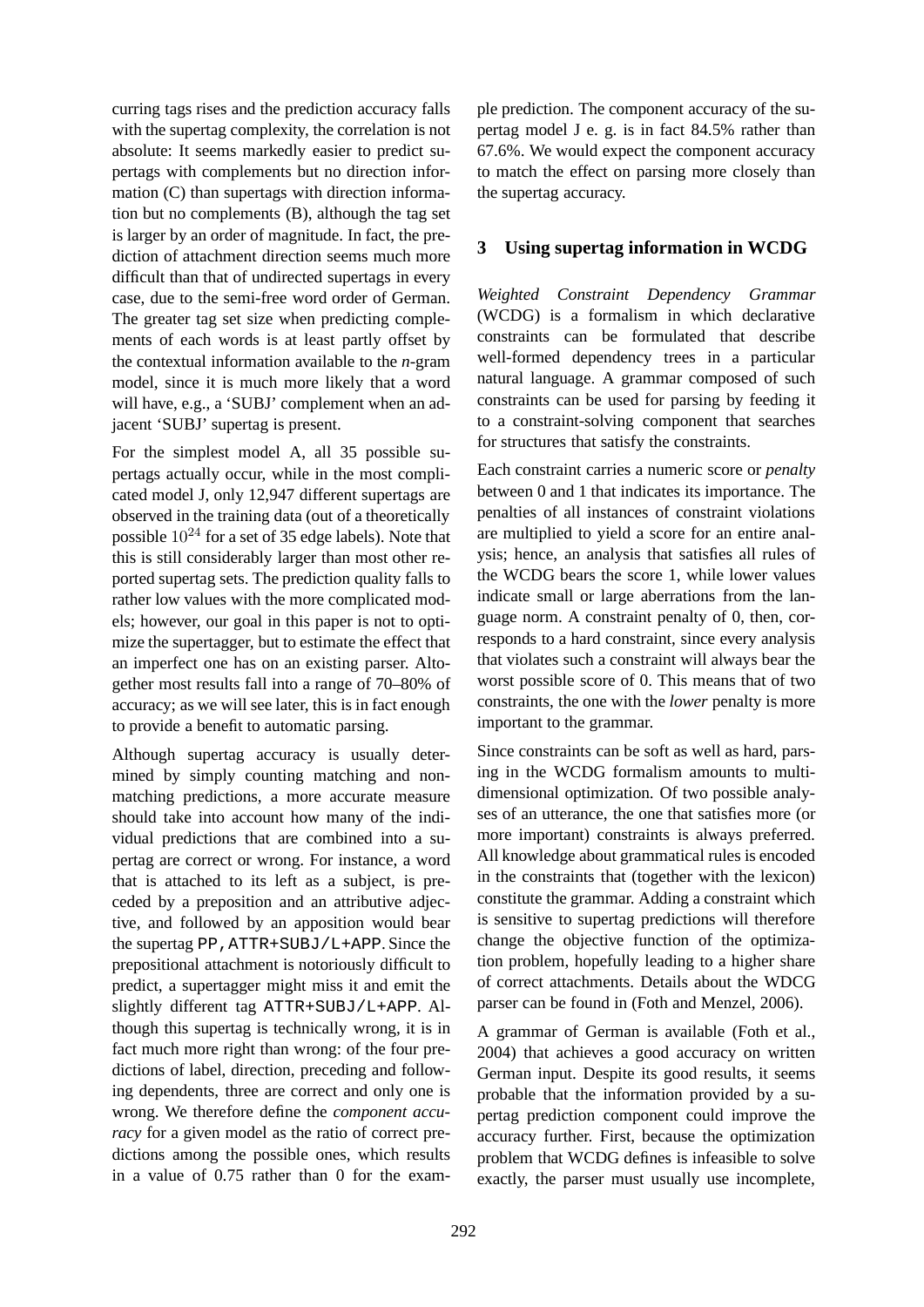curring tags rises and the prediction accuracy falls with the supertag complexity, the correlation is not absolute: It seems markedly easier to predict supertags with complements but no direction information (C) than supertags with direction information but no complements (B), although the tag set is larger by an order of magnitude. In fact, the prediction of attachment direction seems much more difficult than that of undirected supertags in every case, due to the semi-free word order of German. The greater tag set size when predicting complements of each words is at least partly offset by the contextual information available to the *n*-gram model, since it is much more likely that a word will have, e.g., a 'SUBJ' complement when an adjacent 'SUBJ' supertag is present.

For the simplest model A, all 35 possible supertags actually occur, while in the most complicated model J, only 12,947 different supertags are observed in the training data (out of a theoretically possible  $10^{24}$  for a set of 35 edge labels). Note that this is still considerably larger than most other reported supertag sets. The prediction quality falls to rather low values with the more complicated models; however, our goal in this paper is not to optimize the supertagger, but to estimate the effect that an imperfect one has on an existing parser. Altogether most results fall into a range of 70–80% of accuracy; as we will see later, this is in fact enough to provide a benefit to automatic parsing.

Although supertag accuracy is usually determined by simply counting matching and nonmatching predictions, a more accurate measure should take into account how many of the individual predictions that are combined into a supertag are correct or wrong. For instance, a word that is attached to its left as a subject, is preceded by a preposition and an attributive adjective, and followed by an apposition would bear the supertag PP,ATTR+SUBJ/L+APP. Since the prepositional attachment is notoriously difficult to predict, a supertagger might miss it and emit the slightly different tag ATTR+SUBJ/L+APP. Although this supertag is technically wrong, it is in fact much more right than wrong: of the four predictions of label, direction, preceding and following dependents, three are correct and only one is wrong. We therefore define the *component accuracy* for a given model as the ratio of correct predictions among the possible ones, which results in a value of 0.75 rather than 0 for the example prediction. The component accuracy of the supertag model J e. g. is in fact 84.5% rather than 67.6%. We would expect the component accuracy to match the effect on parsing more closely than the supertag accuracy.

## **3 Using supertag information in WCDG**

*Weighted Constraint Dependency Grammar* (WCDG) is a formalism in which declarative constraints can be formulated that describe well-formed dependency trees in a particular natural language. A grammar composed of such constraints can be used for parsing by feeding it to a constraint-solving component that searches for structures that satisfy the constraints.

Each constraint carries a numeric score or *penalty* between 0 and 1 that indicates its importance. The penalties of all instances of constraint violations are multiplied to yield a score for an entire analysis; hence, an analysis that satisfies all rules of the WCDG bears the score 1, while lower values indicate small or large aberrations from the language norm. A constraint penalty of 0, then, corresponds to a hard constraint, since every analysis that violates such a constraint will always bear the worst possible score of 0. This means that of two constraints, the one with the *lower* penalty is more important to the grammar.

Since constraints can be soft as well as hard, parsing in the WCDG formalism amounts to multidimensional optimization. Of two possible analyses of an utterance, the one that satisfies more (or more important) constraints is always preferred. All knowledge about grammatical rules is encoded in the constraints that (together with the lexicon) constitute the grammar. Adding a constraint which is sensitive to supertag predictions will therefore change the objective function of the optimization problem, hopefully leading to a higher share of correct attachments. Details about the WDCG parser can be found in (Foth and Menzel, 2006).

A grammar of German is available (Foth et al., 2004) that achieves a good accuracy on written German input. Despite its good results, it seems probable that the information provided by a supertag prediction component could improve the accuracy further. First, because the optimization problem that WCDG defines is infeasible to solve exactly, the parser must usually use incomplete,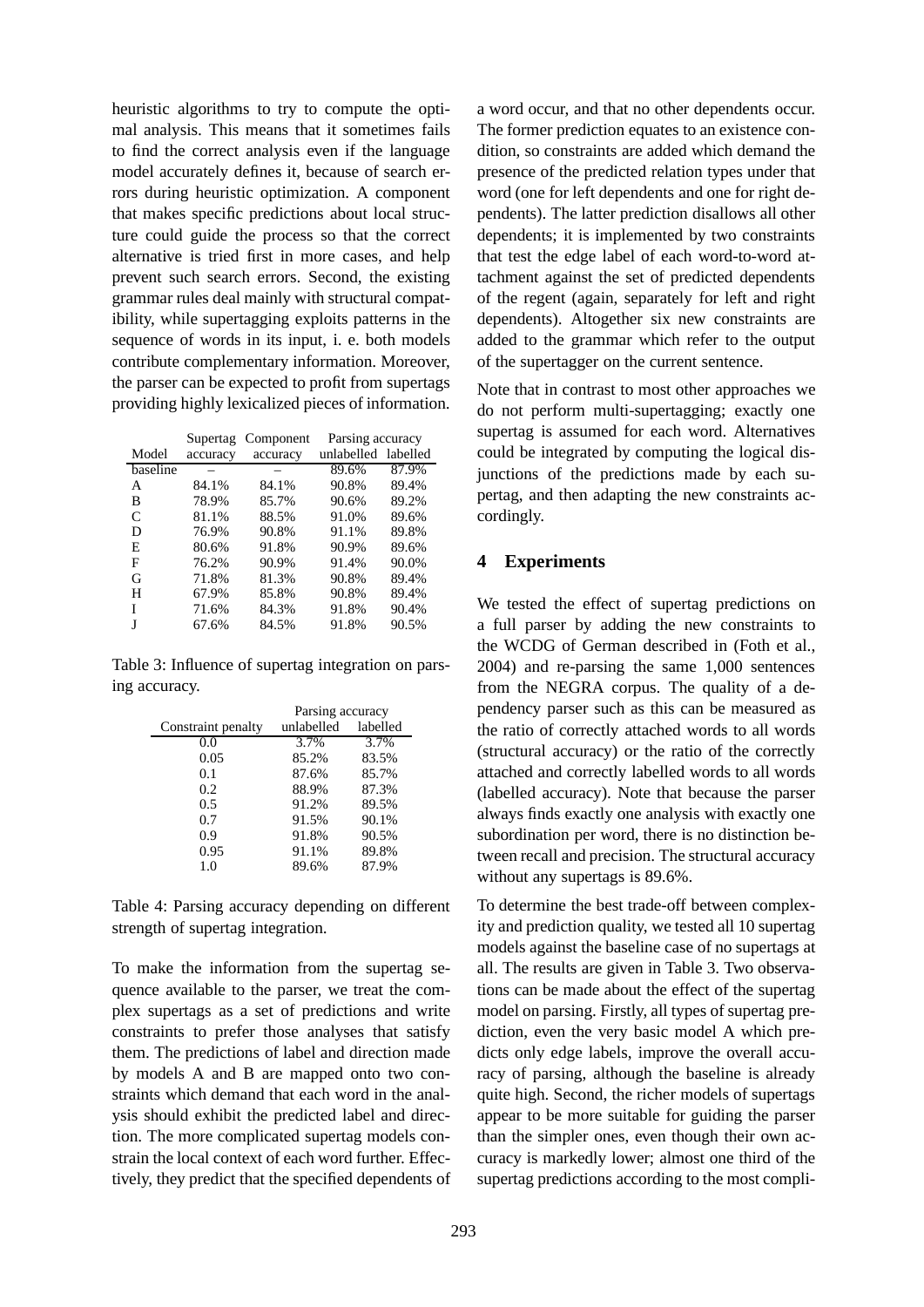heuristic algorithms to try to compute the optimal analysis. This means that it sometimes fails to find the correct analysis even if the language model accurately defines it, because of search errors during heuristic optimization. A component that makes specific predictions about local structure could guide the process so that the correct alternative is tried first in more cases, and help prevent such search errors. Second, the existing grammar rules deal mainly with structural compatibility, while supertagging exploits patterns in the sequence of words in its input, i. e. both models contribute complementary information. Moreover, the parser can be expected to profit from supertags providing highly lexicalized pieces of information.

|              | Supertag | Component |                     | Parsing accuracy |  |
|--------------|----------|-----------|---------------------|------------------|--|
| Model        | accuracy | accuracy  | unlabelled labelled |                  |  |
| baseline     |          |           | 89.6%               | 87.9%            |  |
| A            | 84.1%    | 84.1%     | 90.8%               | 89.4%            |  |
| В            | 78.9%    | 85.7%     | 90.6%               | 89.2%            |  |
| $\mathsf{C}$ | 81.1%    | 88.5%     | 91.0%               | 89.6%            |  |
| D            | 76.9%    | 90.8%     | 91.1%               | 89.8%            |  |
| E            | 80.6%    | 91.8%     | 90.9%               | 89.6%            |  |
| F            | 76.2%    | 90.9%     | 91.4%               | 90.0%            |  |
| G            | 71.8%    | 81.3%     | 90.8%               | 89.4%            |  |
| н            | 67.9%    | 85.8%     | 90.8%               | 89.4%            |  |
| T            | 71.6%    | 84.3%     | 91.8%               | 90.4%            |  |
|              | 67.6%    | 84.5%     | 91.8%               | 90.5%            |  |

Table 3: Influence of supertag integration on parsing accuracy.

|                    | Parsing accuracy |          |  |
|--------------------|------------------|----------|--|
| Constraint penalty | unlabelled       | labelled |  |
| 0.0                | 3.7%             | 3.7%     |  |
| 0.05               | 85.2%            | 83.5%    |  |
| 0.1                | 87.6%            | 85.7%    |  |
| 0.2                | 88.9%            | 87.3%    |  |
| 0.5                | 91.2%            | 89.5%    |  |
| 0.7                | 91.5%            | 90.1%    |  |
| 0.9                | 91.8%            | 90.5%    |  |
| 0.95               | 91.1%            | 89.8%    |  |
| 1.0                | 89.6%            | 87.9%    |  |

Table 4: Parsing accuracy depending on different strength of supertag integration.

To make the information from the supertag sequence available to the parser, we treat the complex supertags as a set of predictions and write constraints to prefer those analyses that satisfy them. The predictions of label and direction made by models A and B are mapped onto two constraints which demand that each word in the analysis should exhibit the predicted label and direction. The more complicated supertag models constrain the local context of each word further. Effectively, they predict that the specified dependents of

a word occur, and that no other dependents occur. The former prediction equates to an existence condition, so constraints are added which demand the presence of the predicted relation types under that word (one for left dependents and one for right dependents). The latter prediction disallows all other dependents; it is implemented by two constraints that test the edge label of each word-to-word attachment against the set of predicted dependents of the regent (again, separately for left and right dependents). Altogether six new constraints are added to the grammar which refer to the output of the supertagger on the current sentence.

Note that in contrast to most other approaches we do not perform multi-supertagging; exactly one supertag is assumed for each word. Alternatives could be integrated by computing the logical disjunctions of the predictions made by each supertag, and then adapting the new constraints accordingly.

## **4 Experiments**

We tested the effect of supertag predictions on a full parser by adding the new constraints to the WCDG of German described in (Foth et al., 2004) and re-parsing the same 1,000 sentences from the NEGRA corpus. The quality of a dependency parser such as this can be measured as the ratio of correctly attached words to all words (structural accuracy) or the ratio of the correctly attached and correctly labelled words to all words (labelled accuracy). Note that because the parser always finds exactly one analysis with exactly one subordination per word, there is no distinction between recall and precision. The structural accuracy without any supertags is 89.6%.

To determine the best trade-off between complexity and prediction quality, we tested all 10 supertag models against the baseline case of no supertags at all. The results are given in Table 3. Two observations can be made about the effect of the supertag model on parsing. Firstly, all types of supertag prediction, even the very basic model A which predicts only edge labels, improve the overall accuracy of parsing, although the baseline is already quite high. Second, the richer models of supertags appear to be more suitable for guiding the parser than the simpler ones, even though their own accuracy is markedly lower; almost one third of the supertag predictions according to the most compli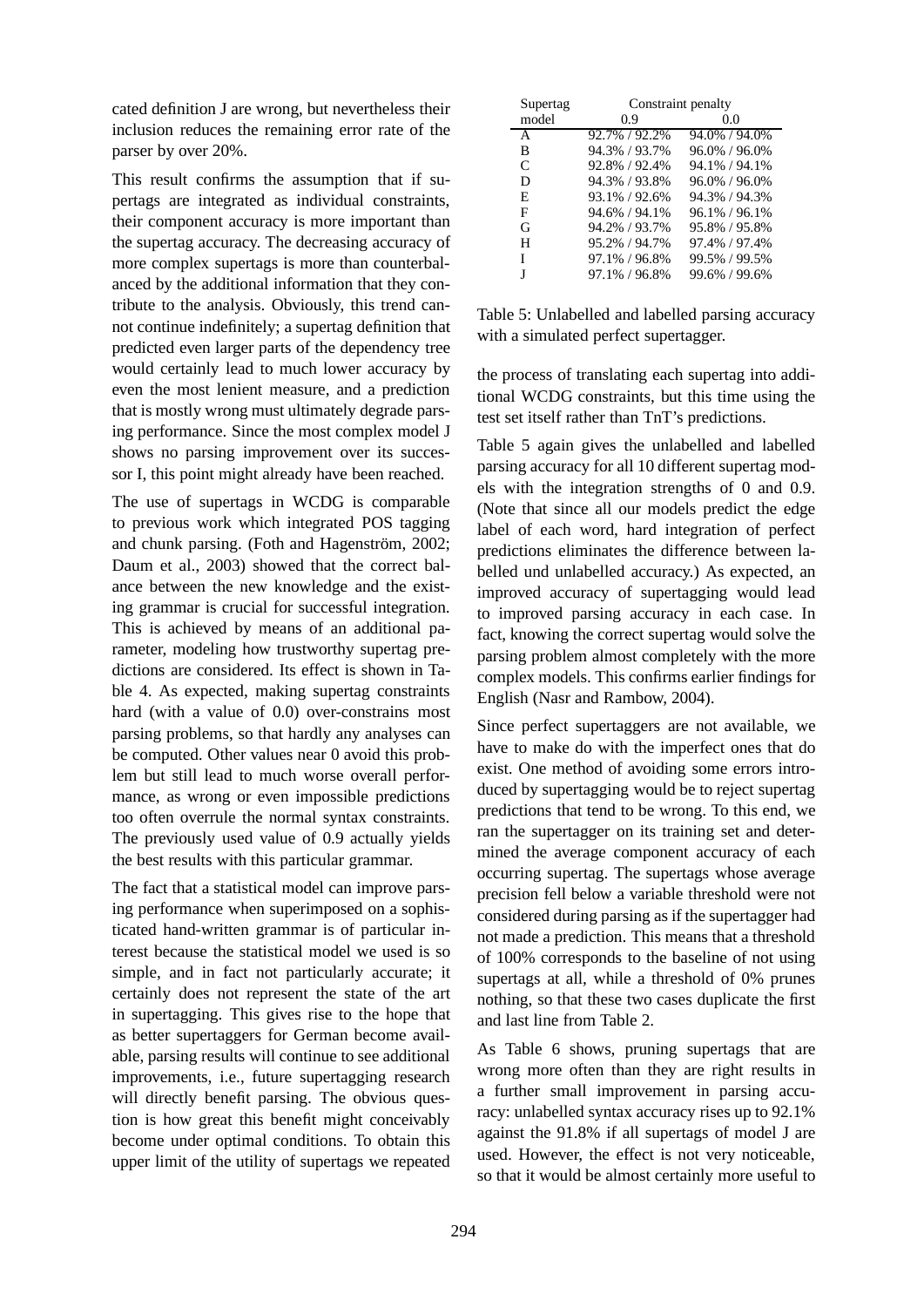cated definition J are wrong, but nevertheless their inclusion reduces the remaining error rate of the parser by over 20%.

This result confirms the assumption that if supertags are integrated as individual constraints, their component accuracy is more important than the supertag accuracy. The decreasing accuracy of more complex supertags is more than counterbalanced by the additional information that they contribute to the analysis. Obviously, this trend cannot continue indefinitely; a supertag definition that predicted even larger parts of the dependency tree would certainly lead to much lower accuracy by even the most lenient measure, and a prediction that is mostly wrong must ultimately degrade parsing performance. Since the most complex model J shows no parsing improvement over its successor I, this point might already have been reached.

The use of supertags in WCDG is comparable to previous work which integrated POS tagging and chunk parsing. (Foth and Hagenström,  $2002$ ; Daum et al., 2003) showed that the correct balance between the new knowledge and the existing grammar is crucial for successful integration. This is achieved by means of an additional parameter, modeling how trustworthy supertag predictions are considered. Its effect is shown in Table 4. As expected, making supertag constraints hard (with a value of 0.0) over-constrains most parsing problems, so that hardly any analyses can be computed. Other values near 0 avoid this problem but still lead to much worse overall performance, as wrong or even impossible predictions too often overrule the normal syntax constraints. The previously used value of 0.9 actually yields the best results with this particular grammar.

The fact that a statistical model can improve parsing performance when superimposed on a sophisticated hand-written grammar is of particular interest because the statistical model we used is so simple, and in fact not particularly accurate; it certainly does not represent the state of the art in supertagging. This gives rise to the hope that as better supertaggers for German become available, parsing results will continue to see additional improvements, i.e., future supertagging research will directly benefit parsing. The obvious question is how great this benefit might conceivably become under optimal conditions. To obtain this upper limit of the utility of supertags we repeated

| Supertag | Constraint penalty |                   |  |  |
|----------|--------------------|-------------------|--|--|
| model    | 0.9                | 0.0               |  |  |
| A        | 92.7% / 92.2%      | 94.0% / 94.0%     |  |  |
| B        | 94.3% / 93.7%      | $96.0\% / 96.0\%$ |  |  |
| C        | 92.8% / 92.4%      | 94.1% / 94.1%     |  |  |
| D        | 94.3% / 93.8%      | $96.0\% / 96.0\%$ |  |  |
| E        | 93.1% / 92.6%      | 94.3% / 94.3%     |  |  |
| F        | 94.6% / 94.1%      | $96.1\% / 96.1\%$ |  |  |
| G        | 94.2% / 93.7%      | 95.8% / 95.8%     |  |  |
| н        | 95.2% / 94.7%      | 97.4% / 97.4%     |  |  |
| L        | 97.1% / 96.8%      | 99.5% / 99.5%     |  |  |
| I        | 97.1% / 96.8%      | 99.6% / 99.6%     |  |  |

Table 5: Unlabelled and labelled parsing accuracy with a simulated perfect supertagger.

the process of translating each supertag into additional WCDG constraints, but this time using the test set itself rather than TnT's predictions.

Table 5 again gives the unlabelled and labelled parsing accuracy for all 10 different supertag models with the integration strengths of 0 and 0.9. (Note that since all our models predict the edge label of each word, hard integration of perfect predictions eliminates the difference between labelled und unlabelled accuracy.) As expected, an improved accuracy of supertagging would lead to improved parsing accuracy in each case. In fact, knowing the correct supertag would solve the parsing problem almost completely with the more complex models. This confirms earlier findings for English (Nasr and Rambow, 2004).

Since perfect supertaggers are not available, we have to make do with the imperfect ones that do exist. One method of avoiding some errors introduced by supertagging would be to reject supertag predictions that tend to be wrong. To this end, we ran the supertagger on its training set and determined the average component accuracy of each occurring supertag. The supertags whose average precision fell below a variable threshold were not considered during parsing as if the supertagger had not made a prediction. This means that a threshold of 100% corresponds to the baseline of not using supertags at all, while a threshold of 0% prunes nothing, so that these two cases duplicate the first and last line from Table 2.

As Table 6 shows, pruning supertags that are wrong more often than they are right results in a further small improvement in parsing accuracy: unlabelled syntax accuracy rises up to 92.1% against the 91.8% if all supertags of model J are used. However, the effect is not very noticeable, so that it would be almost certainly more useful to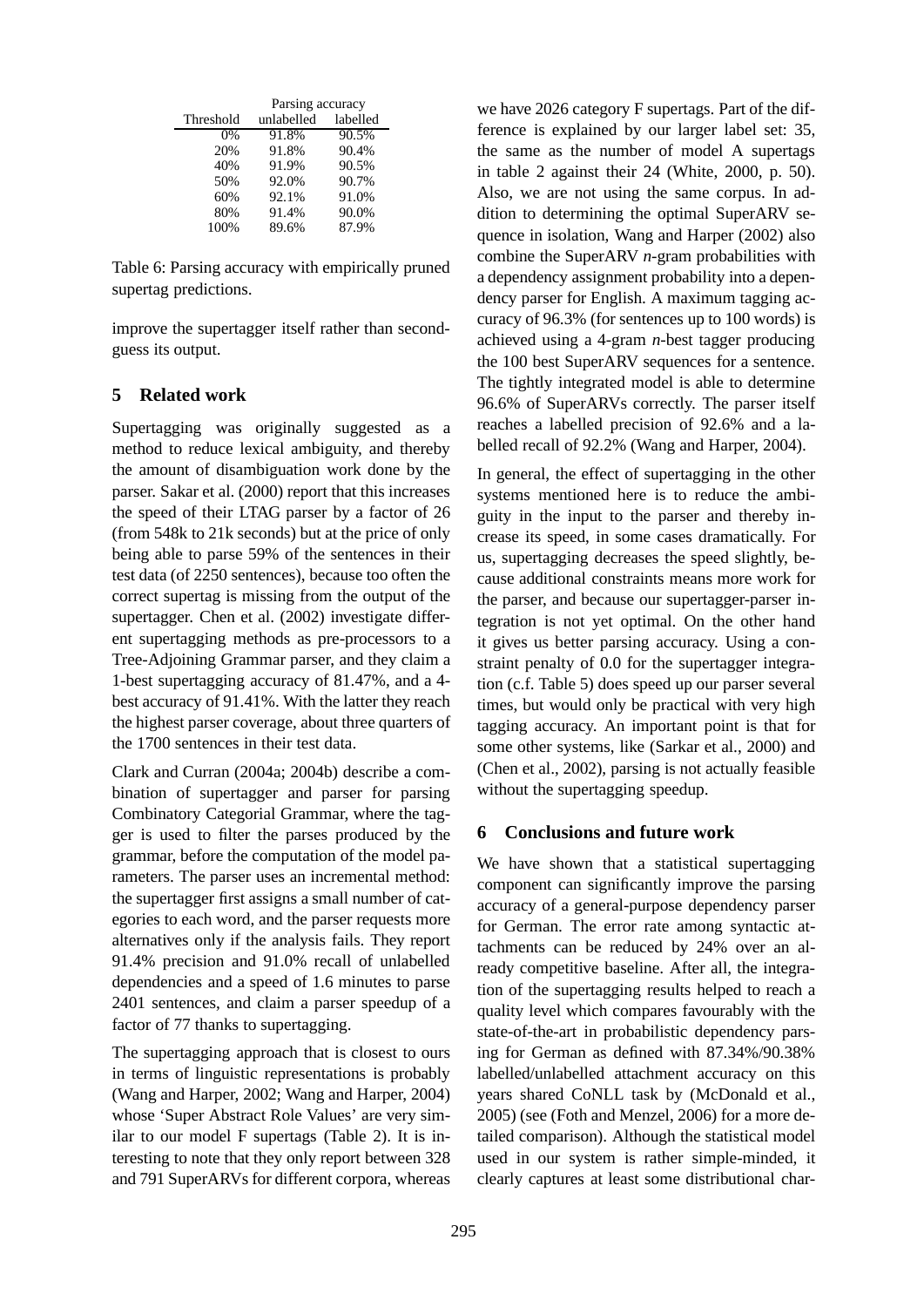|           | Parsing accuracy |          |  |
|-----------|------------------|----------|--|
| Threshold | unlabelled       | labelled |  |
| $0\%$     | 91.8%            | 90.5%    |  |
| 20%       | 91.8%            | 90.4%    |  |
| 40%       | 91.9%            | 90.5%    |  |
| 50%       | 92.0%            | 90.7%    |  |
| 60%       | 92.1%            | 91.0%    |  |
| 80%       | 91.4%            | 90.0%    |  |
| 100%      | 89.6%            | 87.9%    |  |

Table 6: Parsing accuracy with empirically pruned supertag predictions.

improve the supertagger itself rather than secondguess its output.

### **5 Related work**

Supertagging was originally suggested as a method to reduce lexical ambiguity, and thereby the amount of disambiguation work done by the parser. Sakar et al. (2000) report that this increases the speed of their LTAG parser by a factor of 26 (from 548k to 21k seconds) but at the price of only being able to parse 59% of the sentences in their test data (of 2250 sentences), because too often the correct supertag is missing from the output of the supertagger. Chen et al. (2002) investigate different supertagging methods as pre-processors to a Tree-Adjoining Grammar parser, and they claim a 1-best supertagging accuracy of 81.47%, and a 4 best accuracy of 91.41%. With the latter they reach the highest parser coverage, about three quarters of the 1700 sentences in their test data.

Clark and Curran (2004a; 2004b) describe a combination of supertagger and parser for parsing Combinatory Categorial Grammar, where the tagger is used to filter the parses produced by the grammar, before the computation of the model parameters. The parser uses an incremental method: the supertagger first assigns a small number of categories to each word, and the parser requests more alternatives only if the analysis fails. They report 91.4% precision and 91.0% recall of unlabelled dependencies and a speed of 1.6 minutes to parse 2401 sentences, and claim a parser speedup of a factor of 77 thanks to supertagging.

The supertagging approach that is closest to ours in terms of linguistic representations is probably (Wang and Harper, 2002; Wang and Harper, 2004) whose 'Super Abstract Role Values' are very similar to our model F supertags (Table 2). It is interesting to note that they only report between 328 and 791 SuperARVs for different corpora, whereas we have 2026 category F supertags. Part of the difference is explained by our larger label set: 35, the same as the number of model A supertags in table 2 against their 24 (White, 2000, p. 50). Also, we are not using the same corpus. In addition to determining the optimal SuperARV sequence in isolation, Wang and Harper (2002) also combine the SuperARV *n*-gram probabilities with a dependency assignment probability into a dependency parser for English. A maximum tagging accuracy of 96.3% (for sentences up to 100 words) is achieved using a 4-gram *n*-best tagger producing the 100 best SuperARV sequences for a sentence. The tightly integrated model is able to determine 96.6% of SuperARVs correctly. The parser itself reaches a labelled precision of 92.6% and a labelled recall of 92.2% (Wang and Harper, 2004).

In general, the effect of supertagging in the other systems mentioned here is to reduce the ambiguity in the input to the parser and thereby increase its speed, in some cases dramatically. For us, supertagging decreases the speed slightly, because additional constraints means more work for the parser, and because our supertagger-parser integration is not yet optimal. On the other hand it gives us better parsing accuracy. Using a constraint penalty of 0.0 for the supertagger integration (c.f. Table 5) does speed up our parser several times, but would only be practical with very high tagging accuracy. An important point is that for some other systems, like (Sarkar et al., 2000) and (Chen et al., 2002), parsing is not actually feasible without the supertagging speedup.

#### **6 Conclusions and future work**

We have shown that a statistical supertagging component can significantly improve the parsing accuracy of a general-purpose dependency parser for German. The error rate among syntactic attachments can be reduced by 24% over an already competitive baseline. After all, the integration of the supertagging results helped to reach a quality level which compares favourably with the state-of-the-art in probabilistic dependency parsing for German as defined with 87.34%/90.38% labelled/unlabelled attachment accuracy on this years shared CoNLL task by (McDonald et al., 2005) (see (Foth and Menzel, 2006) for a more detailed comparison). Although the statistical model used in our system is rather simple-minded, it clearly captures at least some distributional char